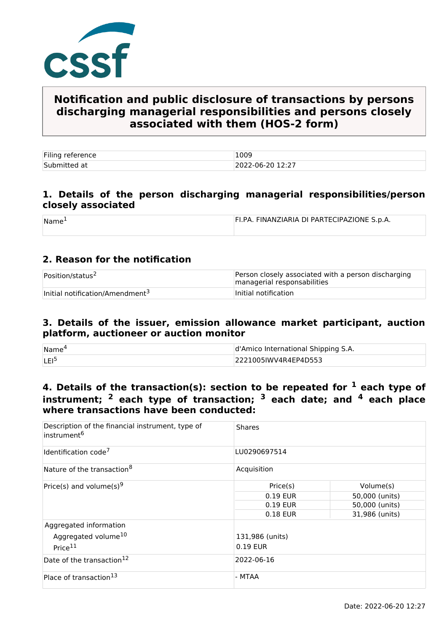

# **Notification and public disclosure of transactions by persons discharging managerial responsibilities and persons closely associated with them (HOS-2 form)**

| Filing reference | 1009             |
|------------------|------------------|
| Submitted at     | 2022-06-20 12:27 |

### **1. Details of the person discharging managerial responsibilities/person closely associated**

| Name | FI.PA. FINANZIARIA DI PARTECIPAZIONE S.p.A. |
|------|---------------------------------------------|
|      |                                             |

### **2. Reason for the notification**

| Position/status <sup>2</sup>                | Person closely associated with a person discharging<br>managerial responsabilities |
|---------------------------------------------|------------------------------------------------------------------------------------|
| Initial notification/Amendment <sup>3</sup> | Initial notification                                                               |

#### **3. Details of the issuer, emission allowance market participant, auction platform, auctioneer or auction monitor**

| Name <sup>®</sup> | d'Amico International Shipping S.A. |  |
|-------------------|-------------------------------------|--|
| <b>LEI</b>        | 2221005IWV4R4EP4D553                |  |

## **4. Details of the transaction(s): section to be repeated for 1 each type of instrument; 2 each type of transaction; 3 each date; and 4 each place where transactions have been conducted:**

| Description of the financial instrument, type of<br>instrument <sup>6</sup>      | <b>Shares</b>               |                |  |  |
|----------------------------------------------------------------------------------|-----------------------------|----------------|--|--|
| Identification code <sup>7</sup>                                                 | LU0290697514                |                |  |  |
| Nature of the transaction <sup>8</sup>                                           | Acquisition                 |                |  |  |
| Price(s) and volume(s) <sup>9</sup>                                              | Price(s)                    | Volume(s)      |  |  |
|                                                                                  | 0.19 EUR                    | 50,000 (units) |  |  |
|                                                                                  | 0.19 EUR                    | 50,000 (units) |  |  |
|                                                                                  | 0.18 EUR                    | 31,986 (units) |  |  |
| Aggregated information<br>Aggregated volume <sup>10</sup><br>Price <sup>11</sup> | 131,986 (units)<br>0.19 EUR |                |  |  |
| Date of the transaction <sup>12</sup>                                            | 2022-06-16                  |                |  |  |
| Place of transaction <sup>13</sup>                                               | - MTAA                      |                |  |  |